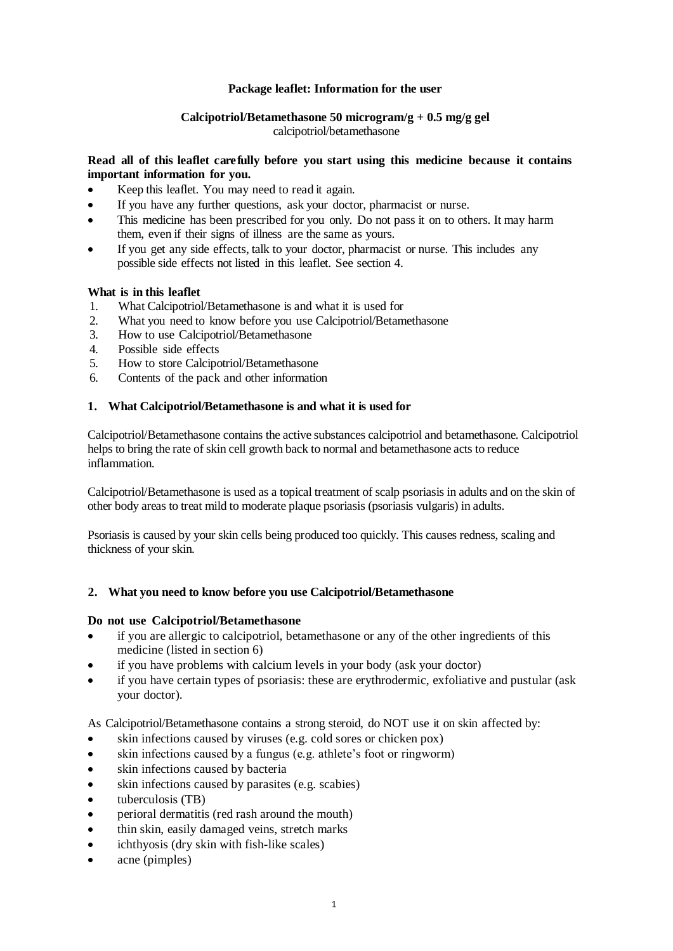### **Package leaflet: Information for the user**

# **Calcipotriol/Betamethasone 50 microgram/g + 0.5 mg/g gel**

calcipotriol/betamethasone

### **Read all of this leaflet carefully before you start using this medicine because it contains important information for you.**

- Keep this leaflet. You may need to read it again.
- If you have any further questions, ask your doctor, pharmacist or nurse.
- This medicine has been prescribed for you only. Do not pass it on to others. It may harm them, even if their signs of illness are the same as yours.
- If you get any side effects, talk to your doctor, pharmacist or nurse. This includes any possible side effects not listed in this leaflet. See section 4.

# **What is in this leaflet**

- 1. What Calcipotriol/Betamethasone is and what it is used for
- 2. What you need to know before you use Calcipotriol/Betamethasone
- 3. How to use Calcipotriol/Betamethasone
- 4. Possible side effects
- 5. How to store Calcipotriol/Betamethasone
- 6. Contents of the pack and other information

# **1. What Calcipotriol/Betamethasone is and what it is used for**

Calcipotriol/Betamethasone contains the active substances calcipotriol and betamethasone. Calcipotriol helps to bring the rate of skin cell growth back to normal and betamethasone acts to reduce inflammation.

Calcipotriol/Betamethasone is used as a topical treatment of scalp psoriasis in adults and on the skin of other body areas to treat mild to moderate plaque psoriasis (psoriasis vulgaris) in adults.

Psoriasis is caused by your skin cells being produced too quickly. This causes redness, scaling and thickness of your skin.

# **2. What you need to know before you use Calcipotriol/Betamethasone**

# **Do not use Calcipotriol/Betamethasone**

- if you are allergic to calcipotriol, betamethasone or any of the other ingredients of this medicine (listed in section 6)
- if you have problems with calcium levels in your body (ask your doctor)
- if you have certain types of psoriasis: these are erythrodermic, exfoliative and pustular (ask your doctor).

As Calcipotriol/Betamethasone contains a strong steroid, do NOT use it on skin affected by:

- skin infections caused by viruses (e.g. cold sores or chicken pox)
- skin infections caused by a fungus (e.g. athlete's foot or ringworm)
- skin infections caused by bacteria
- skin infections caused by parasites (e.g. scabies)
- tuberculosis (TB)
- perioral dermatitis (red rash around the mouth)
- thin skin, easily damaged veins, stretch marks
- ichthyosis (dry skin with fish-like scales)
- acne (pimples)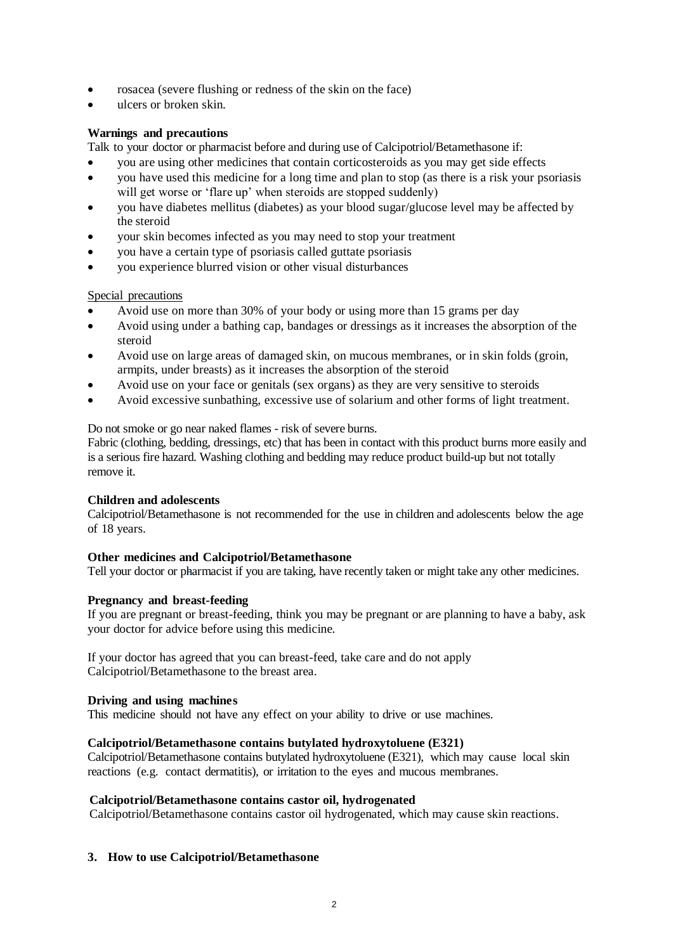- rosacea (severe flushing or redness of the skin on the face)
- ulcers or broken skin.

### **Warnings and precautions**

Talk to your doctor or pharmacist before and during use of Calcipotriol/Betamethasone if:

- you are using other medicines that contain corticosteroids as you may get side effects
- you have used this medicine for a long time and plan to stop (as there is a risk your psoriasis will get worse or 'flare up' when steroids are stopped suddenly)
- you have diabetes mellitus (diabetes) as your blood sugar/glucose level may be affected by the steroid
- your skin becomes infected as you may need to stop your treatment
- you have a certain type of psoriasis called guttate psoriasis
- you experience blurred vision or other visual disturbances

### Special precautions

- Avoid use on more than 30% of your body or using more than 15 grams per day
- Avoid using under a bathing cap, bandages or dressings as it increases the absorption of the steroid
- Avoid use on large areas of damaged skin, on mucous membranes, or in skin folds (groin, armpits, under breasts) as it increases the absorption of the steroid
- Avoid use on your face or genitals (sex organs) as they are very sensitive to steroids
- Avoid excessive sunbathing, excessive use of solarium and other forms of light treatment.

### Do not smoke or go near naked flames - risk of severe burns.

Fabric (clothing, bedding, dressings, etc) that has been in contact with this product burns more easily and is a serious fire hazard. Washing clothing and bedding may reduce product build-up but not totally remove it.

### **Children and adolescents**

Calcipotriol/Betamethasone is not recommended for the use in children and adolescents below the age of 18 years.

### **Other medicines and Calcipotriol/Betamethasone**

Tell your doctor or pharmacist if you are taking, have recently taken or might take any other medicines.

### **Pregnancy and breast-feeding**

If you are pregnant or breast-feeding, think you may be pregnant or are planning to have a baby, ask your doctor for advice before using this medicine.

If your doctor has agreed that you can breast-feed, take care and do not apply Calcipotriol/Betamethasone to the breast area.

### **Driving and using machines**

This medicine should not have any effect on your ability to drive or use machines.

### **Calcipotriol/Betamethasone contains butylated hydroxytoluene (E321)**

Calcipotriol/Betamethasone contains butylated hydroxytoluene (E321), which may cause local skin reactions (e.g. contact dermatitis), or irritation to the eyes and mucous membranes.

### **Calcipotriol/Betamethasone contains castor oil, hydrogenated**

Calcipotriol/Betamethasone contains castor oil hydrogenated, which may cause skin reactions.

### **3. How to use Calcipotriol/Betamethasone**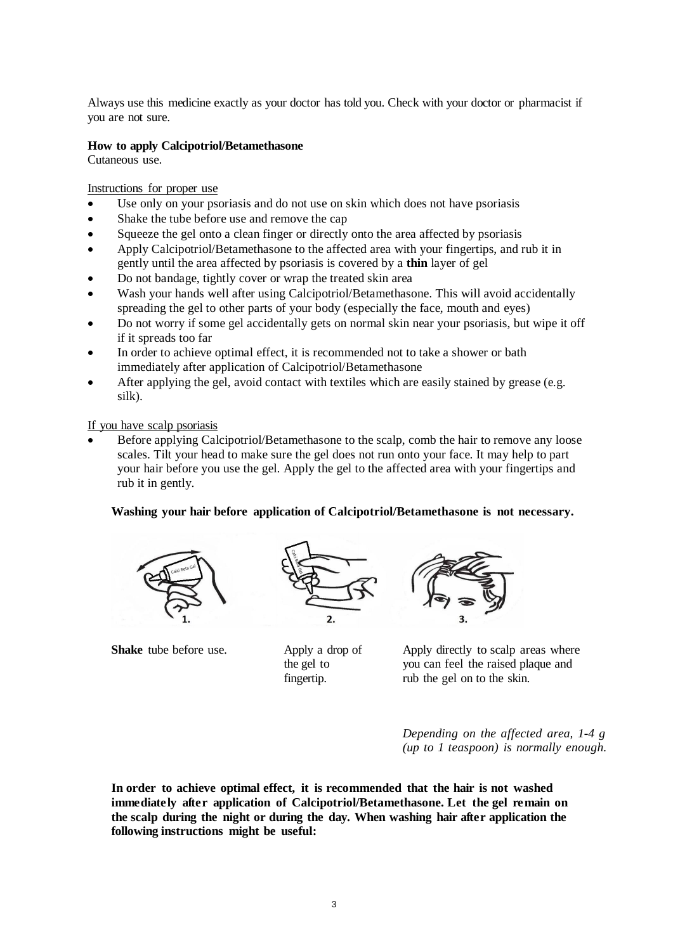Always use this medicine exactly as your doctor has told you. Check with your doctor or pharmacist if you are not sure.

#### **How to apply Calcipotriol/Betamethasone**

Cutaneous use.

Instructions for proper use

- Use only on your psoriasis and do not use on skin which does not have psoriasis
- Shake the tube before use and remove the cap
- Squeeze the gel onto a clean finger or directly onto the area affected by psoriasis
- Apply Calcipotriol/Betamethasone to the affected area with your fingertips, and rub it in gently until the area affected by psoriasis is covered by a **thin** layer of gel
- Do not bandage, tightly cover or wrap the treated skin area
- Wash your hands well after using Calcipotriol/Betamethasone. This will avoid accidentally spreading the gel to other parts of your body (especially the face, mouth and eyes)
- Do not worry if some gel accidentally gets on normal skin near your psoriasis, but wipe it off if it spreads too far
- In order to achieve optimal effect, it is recommended not to take a shower or bath immediately after application of Calcipotriol/Betamethasone
- After applying the gel, avoid contact with textiles which are easily stained by grease (e.g. silk).

If you have scalp psoriasis

 Before applying Calcipotriol/Betamethasone to the scalp, comb the hair to remove any loose scales. Tilt your head to make sure the gel does not run onto your face. It may help to part your hair before you use the gel. Apply the gel to the affected area with your fingertips and rub it in gently.

### **Washing your hair before application of Calcipotriol/Betamethasone is not necessary.**



**Shake** tube before use. Apply a drop of



the gel to fingertip.



Apply directly to scalp areas where you can feel the raised plaque and rub the gel on to the skin.

*Depending on the affected area, 1-4 g (up to 1 teaspoon) is normally enough.*

**In order to achieve optimal effect, it is recommended that the hair is not washed immediately after application of Calcipotriol/Betamethasone. Let the gel remain on the scalp during the night or during the day. When washing hair after application the following instructions might be useful:**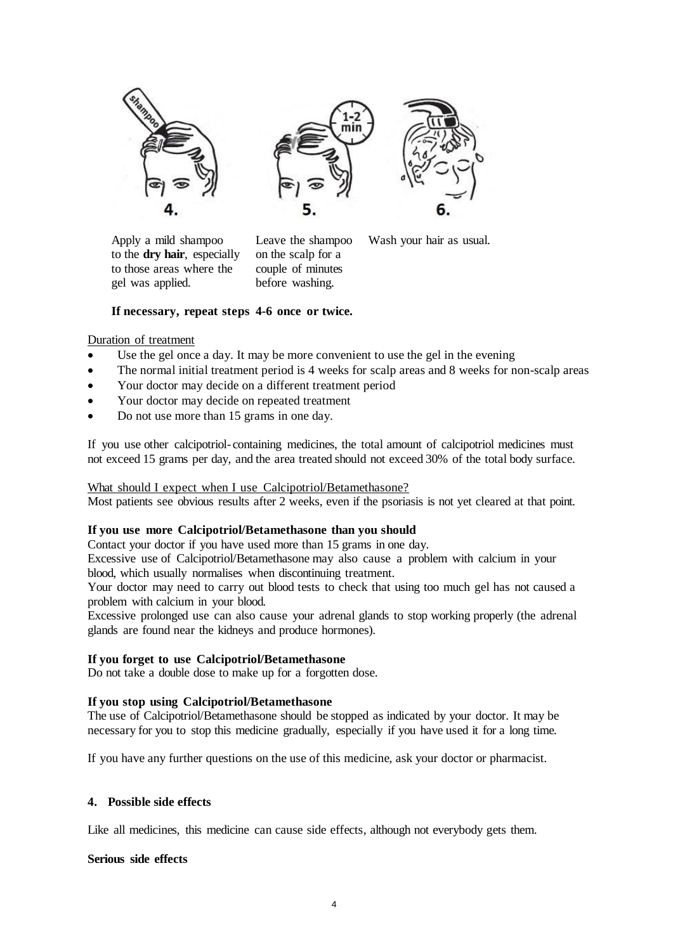





Apply a mild shampoo Leave the shampoo Wash your hair as usual. to the **dry hair**, especially on the scalp for a to those areas where the couple of minutes gel was applied. before washing.

# **If necessary, repeat steps 4-6 once or twice.**

### Duration of treatment

- Use the gel once a day. It may be more convenient to use the gel in the evening
- The normal initial treatment period is 4 weeks for scalp areas and 8 weeks for non-scalp areas
- Your doctor may decide on a different treatment period
- Your doctor may decide on repeated treatment
- Do not use more than 15 grams in one day.

If you use other calcipotriol- containing medicines, the total amount of calcipotriol medicines must not exceed 15 grams per day, and the area treated should not exceed 30% of the total body surface.

### What should I expect when I use Calcipotriol/Betamethasone?

Most patients see obvious results after 2 weeks, even if the psoriasis is not yet cleared at that point.

### **If you use more Calcipotriol/Betamethasone than you should**

Contact your doctor if you have used more than 15 grams in one day.

Excessive use of Calcipotriol/Betamethasone may also cause a problem with calcium in your blood, which usually normalises when discontinuing treatment.

Your doctor may need to carry out blood tests to check that using too much gel has not caused a problem with calcium in your blood.

Excessive prolonged use can also cause your adrenal glands to stop working properly (the adrenal glands are found near the kidneys and produce hormones).

### **If you forget to use Calcipotriol/Betamethasone**

Do not take a double dose to make up for a forgotten dose.

### **If you stop using Calcipotriol/Betamethasone**

The use of Calcipotriol/Betamethasone should be stopped as indicated by your doctor. It may be necessary for you to stop this medicine gradually, especially if you have used it for a long time.

If you have any further questions on the use of this medicine, ask your doctor or pharmacist.

### **4. Possible side effects**

Like all medicines, this medicine can cause side effects, although not everybody gets them.

### **Serious side effects**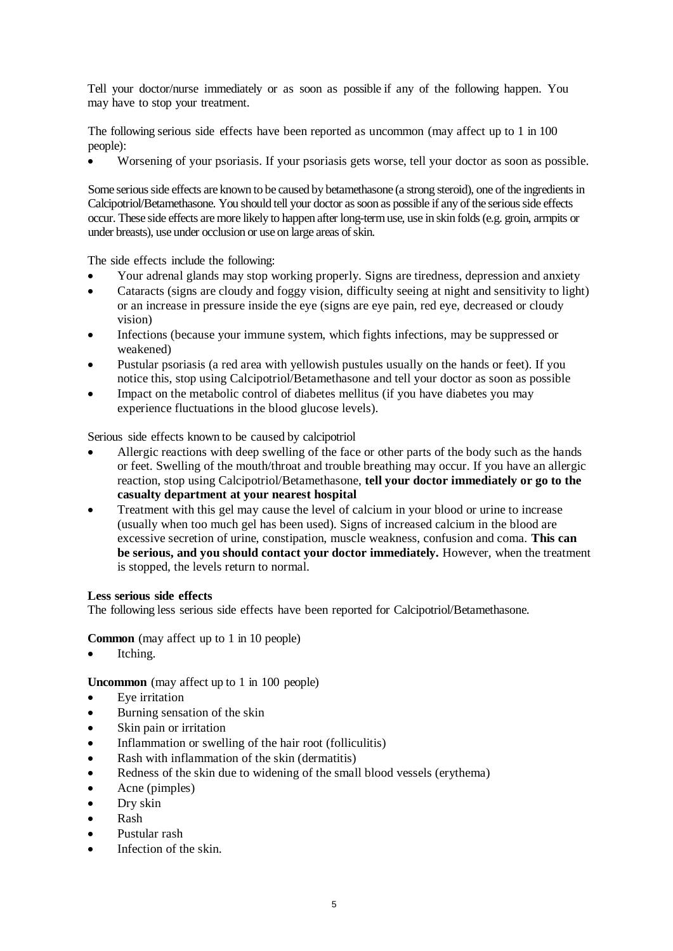Tell your doctor/nurse immediately or as soon as possible if any of the following happen. You may have to stop your treatment.

The following serious side effects have been reported as uncommon (may affect up to 1 in 100 people):

Worsening of your psoriasis. If your psoriasis gets worse, tell your doctor as soon as possible.

Some serious side effects are known to be caused by betamethasone (a strong steroid), one of the ingredients in Calcipotriol/Betamethasone. You should tell your doctor as soon as possible if any of the serious side effects occur. These side effects are more likely to happen after long-term use, use in skin folds (e.g. groin, armpits or under breasts), use under occlusion or use on large areas of skin.

The side effects include the following:

- Your adrenal glands may stop working properly. Signs are tiredness, depression and anxiety
- Cataracts (signs are cloudy and foggy vision, difficulty seeing at night and sensitivity to light) or an increase in pressure inside the eye (signs are eye pain, red eye, decreased or cloudy vision)
- Infections (because your immune system, which fights infections, may be suppressed or weakened)
- Pustular psoriasis (a red area with yellowish pustules usually on the hands or feet). If you notice this, stop using Calcipotriol/Betamethasone and tell your doctor as soon as possible
- Impact on the metabolic control of diabetes mellitus (if you have diabetes you may experience fluctuations in the blood glucose levels).

Serious side effects known to be caused by calcipotriol

- Allergic reactions with deep swelling of the face or other parts of the body such as the hands or feet. Swelling of the mouth/throat and trouble breathing may occur. If you have an allergic reaction, stop using Calcipotriol/Betamethasone, **tell your doctor immediately or go to the casualty department at your nearest hospital**
- Treatment with this gel may cause the level of calcium in your blood or urine to increase (usually when too much gel has been used). Signs of increased calcium in the blood are excessive secretion of urine, constipation, muscle weakness, confusion and coma. **This can be serious, and you should contact your doctor immediately.** However, when the treatment is stopped, the levels return to normal.

### **Less serious side effects**

The following less serious side effects have been reported for Calcipotriol/Betamethasone.

**Common** (may affect up to 1 in 10 people)

Itching.

**Uncommon** (may affect up to 1 in 100 people)

- Eye irritation
- Burning sensation of the skin
- Skin pain or irritation
- Inflammation or swelling of the hair root (folliculitis)
- Rash with inflammation of the skin (dermatitis)
- Redness of the skin due to widening of the small blood vessels (erythema)
- Acne (pimples)
- Dry skin
- Rash
- Pustular rash
- Infection of the skin.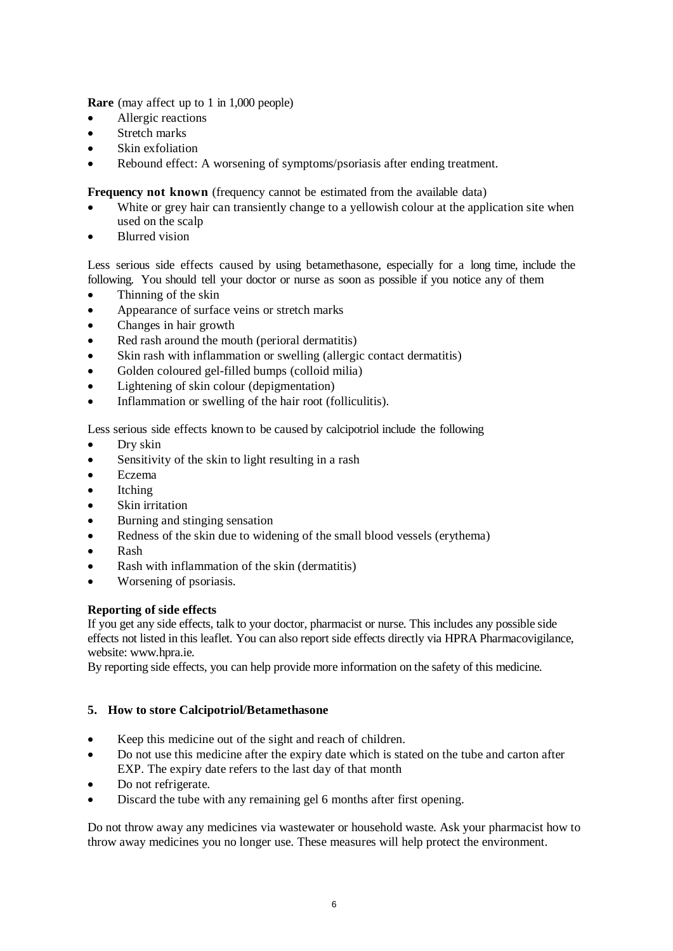**Rare** (may affect up to 1 in 1,000 people)

- Allergic reactions
- Stretch marks
- Skin exfoliation
- Rebound effect: A worsening of symptoms/psoriasis after ending treatment.

**Frequency not known** (frequency cannot be estimated from the available data)

- White or grey hair can transiently change to a yellowish colour at the application site when used on the scalp
- Blurred vision

Less serious side effects caused by using betamethasone, especially for a long time, include the following. You should tell your doctor or nurse as soon as possible if you notice any of them

- Thinning of the skin
- Appearance of surface veins or stretch marks
- Changes in hair growth
- Red rash around the mouth (perioral dermatitis)
- Skin rash with inflammation or swelling (allergic contact dermatitis)
- Golden coloured gel-filled bumps (colloid milia)
- Lightening of skin colour (depigmentation)
- Inflammation or swelling of the hair root (folliculitis).

Less serious side effects known to be caused by calcipotriol include the following

- Dry skin
- Sensitivity of the skin to light resulting in a rash
- Eczema
- Itching
- Skin irritation
- Burning and stinging sensation
- Redness of the skin due to widening of the small blood vessels (erythema)
- Rash
- Rash with inflammation of the skin (dermatitis)
- Worsening of psoriasis.

# **Reporting of side effects**

If you get any side effects, talk to your doctor, pharmacist or nurse. This includes any possible side effects not listed in this leaflet. You can also report side effects directly via HPRA Pharmacovigilance, website: www.hpra.ie.

By reporting side effects, you can help provide more information on the safety of this medicine.

# **5. How to store Calcipotriol/Betamethasone**

- Keep this medicine out of the sight and reach of children.
- Do not use this medicine after the expiry date which is stated on the tube and carton after EXP. The expiry date refers to the last day of that month
- Do not refrigerate.
- Discard the tube with any remaining gel 6 months after first opening.

Do not throw away any medicines via wastewater or household waste. Ask your pharmacist how to throw away medicines you no longer use. These measures will help protect the environment.